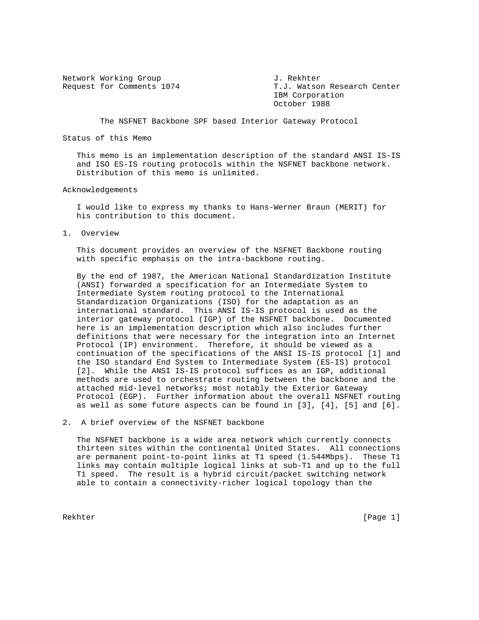Network Working Group J. Rekhter

Request for Comments 1074 T.J. Watson Research Center IBM Corporation October 1988

The NSFNET Backbone SPF based Interior Gateway Protocol

## Status of this Memo

 This memo is an implementation description of the standard ANSI IS-IS and ISO ES-IS routing protocols within the NSFNET backbone network. Distribution of this memo is unlimited.

## Acknowledgements

 I would like to express my thanks to Hans-Werner Braun (MERIT) for his contribution to this document.

1. Overview

 This document provides an overview of the NSFNET Backbone routing with specific emphasis on the intra-backbone routing.

 By the end of 1987, the American National Standardization Institute (ANSI) forwarded a specification for an Intermediate System to Intermediate System routing protocol to the International Standardization Organizations (ISO) for the adaptation as an international standard. This ANSI IS-IS protocol is used as the interior gateway protocol (IGP) of the NSFNET backbone. Documented here is an implementation description which also includes further definitions that were necessary for the integration into an Internet Protocol (IP) environment. Therefore, it should be viewed as a continuation of the specifications of the ANSI IS-IS protocol [1] and the ISO standard End System to Intermediate System (ES-IS) protocol [2]. While the ANSI IS-IS protocol suffices as an IGP, additional methods are used to orchestrate routing between the backbone and the attached mid-level networks; most notably the Exterior Gateway Protocol (EGP). Further information about the overall NSFNET routing as well as some future aspects can be found in [3], [4], [5] and [6].

## 2. A brief overview of the NSFNET backbone

 The NSFNET backbone is a wide area network which currently connects thirteen sites within the continental United States. All connections are permanent point-to-point links at T1 speed (1.544Mbps). These T1 links may contain multiple logical links at sub-T1 and up to the full T1 speed. The result is a hybrid circuit/packet switching network able to contain a connectivity-richer logical topology than the

Rekhter [Page 1] [Page 1] [Page 1] [Page 1] [Page 1] [Page 1] [Page 1] [Page 1] [Page 1] [Page 1] [Page 1] [Page 1] [Page 1] [Page 1] [Page 1] [Page 1] [Page 1] [Page 1] [Page 1] [Page 1] [Page 1] [Page 1] [Page 1] [Page 1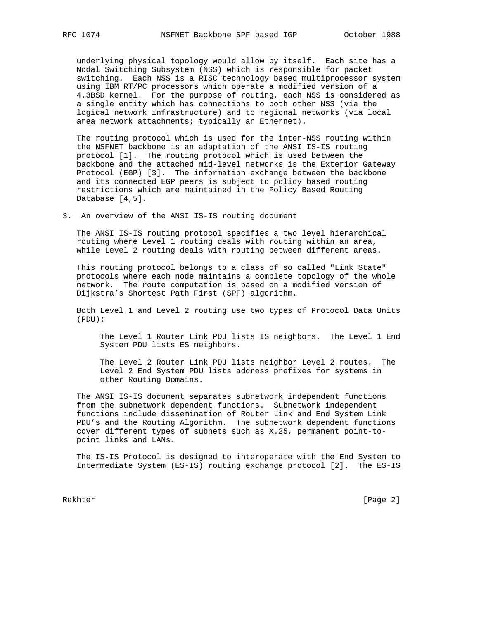underlying physical topology would allow by itself. Each site has a Nodal Switching Subsystem (NSS) which is responsible for packet switching. Each NSS is a RISC technology based multiprocessor system using IBM RT/PC processors which operate a modified version of a 4.3BSD kernel. For the purpose of routing, each NSS is considered as a single entity which has connections to both other NSS (via the logical network infrastructure) and to regional networks (via local area network attachments; typically an Ethernet).

 The routing protocol which is used for the inter-NSS routing within the NSFNET backbone is an adaptation of the ANSI IS-IS routing protocol [1]. The routing protocol which is used between the backbone and the attached mid-level networks is the Exterior Gateway Protocol (EGP) [3]. The information exchange between the backbone and its connected EGP peers is subject to policy based routing restrictions which are maintained in the Policy Based Routing Database [4,5].

3. An overview of the ANSI IS-IS routing document

 The ANSI IS-IS routing protocol specifies a two level hierarchical routing where Level 1 routing deals with routing within an area, while Level 2 routing deals with routing between different areas.

 This routing protocol belongs to a class of so called "Link State" protocols where each node maintains a complete topology of the whole network. The route computation is based on a modified version of Dijkstra's Shortest Path First (SPF) algorithm.

 Both Level 1 and Level 2 routing use two types of Protocol Data Units (PDU):

 The Level 1 Router Link PDU lists IS neighbors. The Level 1 End System PDU lists ES neighbors.

 The Level 2 Router Link PDU lists neighbor Level 2 routes. The Level 2 End System PDU lists address prefixes for systems in other Routing Domains.

 The ANSI IS-IS document separates subnetwork independent functions from the subnetwork dependent functions. Subnetwork independent functions include dissemination of Router Link and End System Link PDU's and the Routing Algorithm. The subnetwork dependent functions cover different types of subnets such as X.25, permanent point-to point links and LANs.

 The IS-IS Protocol is designed to interoperate with the End System to Intermediate System (ES-IS) routing exchange protocol [2]. The ES-IS

Rekhter [Page 2]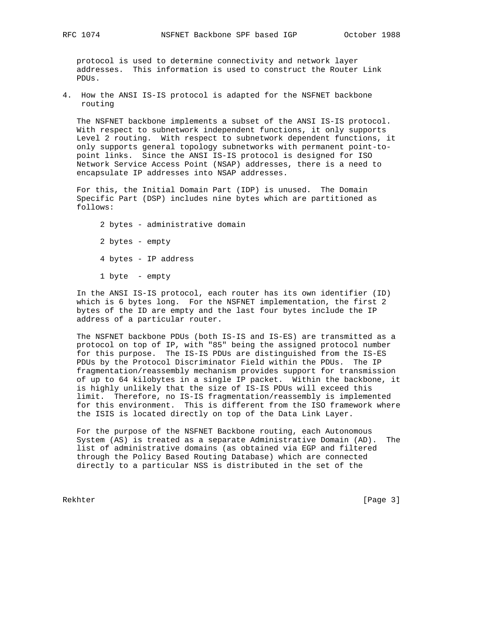protocol is used to determine connectivity and network layer addresses. This information is used to construct the Router Link PDUs.

4. How the ANSI IS-IS protocol is adapted for the NSFNET backbone routing

 The NSFNET backbone implements a subset of the ANSI IS-IS protocol. With respect to subnetwork independent functions, it only supports Level 2 routing. With respect to subnetwork dependent functions, it only supports general topology subnetworks with permanent point-to point links. Since the ANSI IS-IS protocol is designed for ISO Network Service Access Point (NSAP) addresses, there is a need to encapsulate IP addresses into NSAP addresses.

 For this, the Initial Domain Part (IDP) is unused. The Domain Specific Part (DSP) includes nine bytes which are partitioned as follows:

 2 bytes - administrative domain 2 bytes - empty 4 bytes - IP address

1 byte - empty

 In the ANSI IS-IS protocol, each router has its own identifier (ID) which is 6 bytes long. For the NSFNET implementation, the first 2 bytes of the ID are empty and the last four bytes include the IP address of a particular router.

 The NSFNET backbone PDUs (both IS-IS and IS-ES) are transmitted as a protocol on top of IP, with "85" being the assigned protocol number for this purpose. The IS-IS PDUs are distinguished from the IS-ES PDUs by the Protocol Discriminator Field within the PDUs. The IP fragmentation/reassembly mechanism provides support for transmission of up to 64 kilobytes in a single IP packet. Within the backbone, it is highly unlikely that the size of IS-IS PDUs will exceed this limit. Therefore, no IS-IS fragmentation/reassembly is implemented for this environment. This is different from the ISO framework where the ISIS is located directly on top of the Data Link Layer.

 For the purpose of the NSFNET Backbone routing, each Autonomous System (AS) is treated as a separate Administrative Domain (AD). The list of administrative domains (as obtained via EGP and filtered through the Policy Based Routing Database) which are connected directly to a particular NSS is distributed in the set of the

Rekhter [Page 3]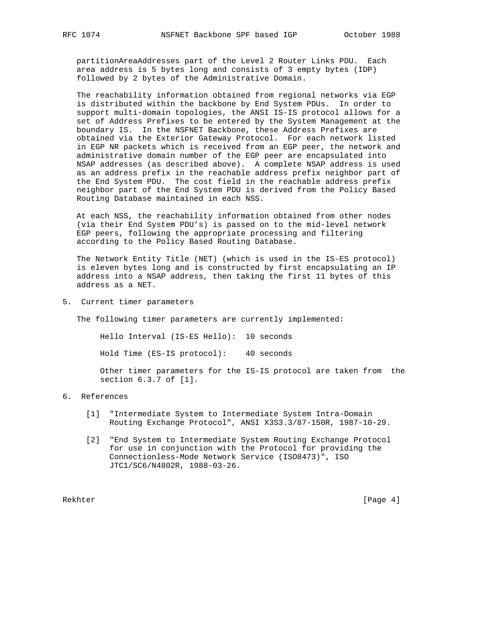partitionAreaAddresses part of the Level 2 Router Links PDU. Each area address is 5 bytes long and consists of 3 empty bytes (IDP) followed by 2 bytes of the Administrative Domain.

 The reachability information obtained from regional networks via EGP is distributed within the backbone by End System PDUs. In order to support multi-domain topologies, the ANSI IS-IS protocol allows for a set of Address Prefixes to be entered by the System Management at the boundary IS. In the NSFNET Backbone, these Address Prefixes are obtained via the Exterior Gateway Protocol. For each network listed in EGP NR packets which is received from an EGP peer, the network and administrative domain number of the EGP peer are encapsulated into NSAP addresses (as described above). A complete NSAP address is used as an address prefix in the reachable address prefix neighbor part of the End System PDU. The cost field in the reachable address prefix neighbor part of the End System PDU is derived from the Policy Based Routing Database maintained in each NSS.

 At each NSS, the reachability information obtained from other nodes (via their End System PDU's) is passed on to the mid-level network EGP peers, following the appropriate processing and filtering according to the Policy Based Routing Database.

 The Network Entity Title (NET) (which is used in the IS-ES protocol) is eleven bytes long and is constructed by first encapsulating an IP address into a NSAP address, then taking the first 11 bytes of this address as a NET.

5. Current timer parameters

The following timer parameters are currently implemented:

Hello Interval (IS-ES Hello): 10 seconds

Hold Time (ES-IS protocol): 40 seconds

 Other timer parameters for the IS-IS protocol are taken from the section 6.3.7 of [1].

## 6. References

- [1] "Intermediate System to Intermediate System Intra-Domain Routing Exchange Protocol", ANSI X3S3.3/87-150R, 1987-10-29.
- [2] "End System to Intermediate System Routing Exchange Protocol for use in conjunction with the Protocol for providing the Connectionless-Mode Network Service (ISO8473)", ISO JTC1/SC6/N4802R, 1988-03-26.

Rekhter [Page 4]